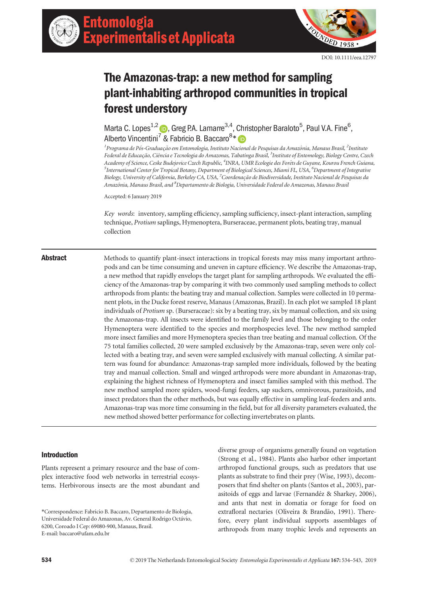

# The Amazonas-trap: a new method for sampling plant-inhabiting arthropod communities in tropical forest understory

Alberto Vincentini<sup>7</sup> & Fabricio B. Baccaro<sup>8\*</sup> Marta C. Lopes<sup>1,2</sup> (b), Greg P.A. Lamarre<sup>3,4</sup>, Christopher Baraloto<sup>5</sup>, Paul V.A. Fine<sup>6</sup>.  $\overline{\phantom{a}}$ 

AIDEITO VINCENUNI - & FADNCIO B. BACCAIO<sup>- .</sup> DD<br><sup>1</sup> Programa de Pós-Graduação em Entomologia, Instituto Nacional de Pesquisas da Amazônia, Manaus Brasil, <sup>2</sup>Instituto Federal de Educação, Ciência e Tecnologia do Amazonas, Tabatinga Brasil, <sup>3</sup>Institute of Entomology, Biology Centre, Czech Academy of Science, Ceske Budejovice Czech Republic, <sup>4</sup>INRA, UMR Ecologie des Forêts de Guyane, Kourou French Guiana,<br><sup>5</sup>International Center for Tropical Botany, Department of Biological Sciences, Miami EL, USA, <sup>6</sup>Depar .<br>International Center for Tropical Botany, Department of Biological Sciences, Miami FL, USA, <sup>6</sup>Department of Integrative Biology, University of California, Berkeley CA, USA, <sup>7</sup>Coordenação de Biodiversidade, Instituto Nacional de Pesquisas da Amazônia, Manaus Brasil, and <sup>8</sup>Departamento de Biologia, Universidade Federal do Amazonas, Manaus Brasil

Accepted: 6 January 2019

Key words: inventory, sampling efficiency, sampling sufficiency, insect-plant interaction, sampling technique, Protium saplings, Hymenoptera, Burseraceae, permanent plots, beating tray, manual collection

Abstract Methods to quantify plant-insect interactions in tropical forests may miss many important arthropods and can be time consuming and uneven in capture efficiency. We describe the Amazonas-trap, a new method that rapidly envelops the target plant for sampling arthropods. We evaluated the efficiency of the Amazonas-trap by comparing it with two commonly used sampling methods to collect arthropods from plants: the beating tray and manual collection. Samples were collected in 10 permanent plots, in the Ducke forest reserve, Manaus (Amazonas, Brazil). In each plot we sampled 18 plant individuals of Protium sp. (Burseraceae): six by a beating tray, six by manual collection, and six using the Amazonas-trap. All insects were identified to the family level and those belonging to the order Hymenoptera were identified to the species and morphospecies level. The new method sampled more insect families and more Hymenoptera species than tree beating and manual collection. Of the 75 total families collected, 20 were sampled exclusively by the Amazonas-trap, seven were only collected with a beating tray, and seven were sampled exclusively with manual collecting. A similar pattern was found for abundance: Amazonas-trap sampled more individuals, followed by the beating tray and manual collection. Small and winged arthropods were more abundant in Amazonas-trap, explaining the highest richness of Hymenoptera and insect families sampled with this method. The new method sampled more spiders, wood-fungi feeders, sap suckers, omnivorous, parasitoids, and insect predators than the other methods, but was equally effective in sampling leaf-feeders and ants. Amazonas-trap was more time consuming in the field, but for all diversity parameters evaluated, the new method showed better performance for collecting invertebrates on plants.

# Introduction

Plants represent a primary resource and the base of complex interactive food web networks in terrestrial ecosystems. Herbivorous insects are the most abundant and

diverse group of organisms generally found on vegetation (Strong et al., 1984). Plants also harbor other important arthropod functional groups, such as predators that use plants as substrate to find their prey (Wise, 1993), decomposers that find shelter on plants (Santos et al., 2003), parasitoids of eggs and larvae (Fernandéz & Sharkey, 2006), and ants that nest in domatia or forage for food on extrafloral nectaries (Oliveira & Brandão, 1991). Therefore, every plant individual supports assemblages of arthropods from many trophic levels and represents an

<sup>\*</sup>Correspondence: Fabricio B. Baccaro, Departamento de Biologia, Universidade Federal do Amazonas, Av. General Rodrigo Octavio, 6200, Coroado I Cep: 69080-900, Manaus, Brasil. E-mail: [baccaro@ufam.edu.br](mailto:)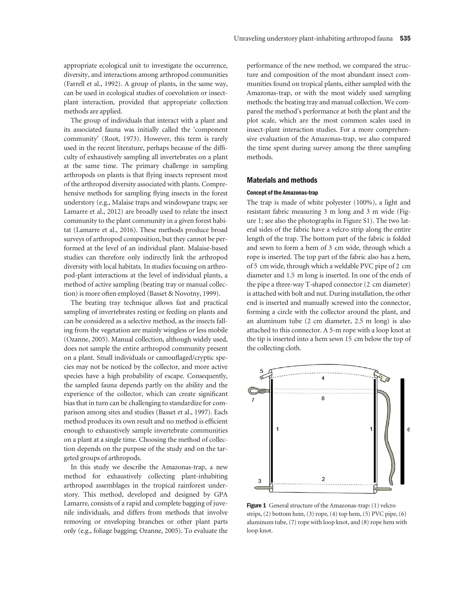appropriate ecological unit to investigate the occurrence, diversity, and interactions among arthropod communities (Farrell et al., 1992). A group of plants, in the same way, can be used in ecological studies of coevolution or insectplant interaction, provided that appropriate collection methods are applied.

The group of individuals that interact with a plant and its associated fauna was initially called the 'component community' (Root, 1973). However, this term is rarely used in the recent literature, perhaps because of the difficulty of exhaustively sampling all invertebrates on a plant at the same time. The primary challenge in sampling arthropods on plants is that flying insects represent most of the arthropod diversity associated with plants. Comprehensive methods for sampling flying insects in the forest understory (e.g., Malaise traps and windowpane traps; see Lamarre et al., 2012) are broadly used to relate the insect community to the plant community in a given forest habitat (Lamarre et al., 2016). These methods produce broad surveys of arthropod composition, but they cannot be performed at the level of an individual plant. Malaise-based studies can therefore only indirectly link the arthropod diversity with local habitats. In studies focusing on arthropod-plant interactions at the level of individual plants, a method of active sampling (beating tray or manual collection) is more often employed (Basset & Novotny, 1999).

The beating tray technique allows fast and practical sampling of invertebrates resting or feeding on plants and can be considered as a selective method, as the insects falling from the vegetation are mainly wingless or less mobile (Ozanne, 2005). Manual collection, although widely used, does not sample the entire arthropod community present on a plant. Small individuals or camouflaged/cryptic species may not be noticed by the collector, and more active species have a high probability of escape. Consequently, the sampled fauna depends partly on the ability and the experience of the collector, which can create significant bias that in turn can be challenging to standardize for comparison among sites and studies (Basset et al., 1997). Each method produces its own result and no method is efficient enough to exhaustively sample invertebrate communities on a plant at a single time. Choosing the method of collection depends on the purpose of the study and on the targeted groups of arthropods.

In this study we describe the Amazonas-trap, a new method for exhaustively collecting plant-inhabiting arthropod assemblages in the tropical rainforest understory. This method, developed and designed by GPA Lamarre, consists of a rapid and complete bagging of juvenile individuals, and differs from methods that involve removing or enveloping branches or other plant parts only (e.g., foliage bagging; Ozanne, 2005). To evaluate the performance of the new method, we compared the structure and composition of the most abundant insect communities found on tropical plants, either sampled with the Amazonas-trap, or with the most widely used sampling methods: the beating tray and manual collection. We compared the method's performance at both the plant and the plot scale, which are the most common scales used in insect-plant interaction studies. For a more comprehensive evaluation of the Amazonas-trap, we also compared the time spent during survey among the three sampling methods.

## Materials and methods

#### Concept of the Amazonas-trap

The trap is made of white polyester (100%), a light and resistant fabric measuring 3 m long and 3 m wide (Figure 1; see also the photographs in Figure S1). The two lateral sides of the fabric have a velcro strip along the entire length of the trap. The bottom part of the fabric is folded and sewn to form a hem of 3 cm wide, through which a rope is inserted. The top part of the fabric also has a hem, of 5 cm wide, through which a weldable PVC pipe of 2 cm diameter and 1.5 m long is inserted. In one of the ends of the pipe a three-way T-shaped connector (2 cm diameter) is attached with bolt and nut. During installation, the other end is inserted and manually screwed into the connector, forming a circle with the collector around the plant, and an aluminum tube (2 cm diameter, 2.5 m long) is also attached to this connector. A 5-m rope with a loop knot at the tip is inserted into a hem sewn 15 cm below the top of the collecting cloth.



Figure 1 General structure of the Amazonas-trap: (1) velcro strips,  $(2)$  bottom hem,  $(3)$  rope,  $(4)$  top hem,  $(5)$  PVC pipe,  $(6)$ aluminum tube, (7) rope with loop knot, and (8) rope hem with loop knot.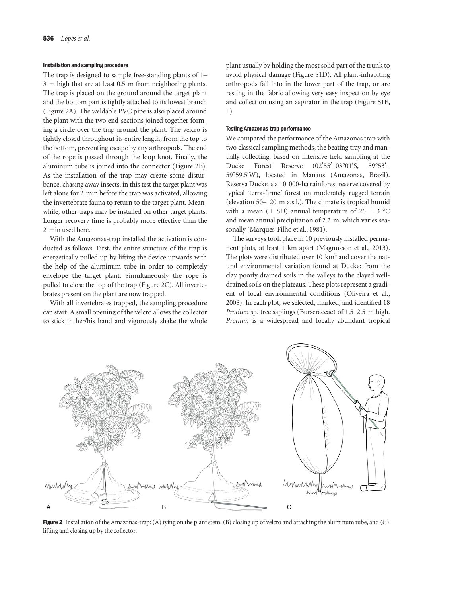#### Installation and sampling procedure

The trap is designed to sample free-standing plants of 1– 3 m high that are at least 0.5 m from neighboring plants. The trap is placed on the ground around the target plant and the bottom part is tightly attached to its lowest branch (Figure 2A). The weldable PVC pipe is also placed around the plant with the two end-sections joined together forming a circle over the trap around the plant. The velcro is tightly closed throughout its entire length, from the top to the bottom, preventing escape by any arthropods. The end of the rope is passed through the loop knot. Finally, the aluminum tube is joined into the connector (Figure 2B). As the installation of the trap may create some disturbance, chasing away insects, in this test the target plant was left alone for 2 min before the trap was activated, allowing the invertebrate fauna to return to the target plant. Meanwhile, other traps may be installed on other target plants. Longer recovery time is probably more effective than the 2 min used here.

With the Amazonas-trap installed the activation is conducted as follows. First, the entire structure of the trap is energetically pulled up by lifting the device upwards with the help of the aluminum tube in order to completely envelope the target plant. Simultaneously the rope is pulled to close the top of the trap (Figure 2C). All invertebrates present on the plant are now trapped.

With all invertebrates trapped, the sampling procedure can start. A small opening of the velcro allows the collector to stick in her/his hand and vigorously shake the whole plant usually by holding the most solid part of the trunk to avoid physical damage (Figure S1D). All plant-inhabiting arthropods fall into in the lower part of the trap, or are resting in the fabric allowing very easy inspection by eye and collection using an aspirator in the trap (Figure S1E, F).

#### Testing Amazonas-trap performance

We compared the performance of the Amazonas trap with two classical sampling methods, the beating tray and manually collecting, based on intensive field sampling at the Ducke Forest Reserve  $55' - 03°01'$  $S, 59^{\circ}53'$ 59°59.5'W), located in Manaus (Amazonas, Brazil). Reserva Ducke is a 10 000-ha rainforest reserve covered by typical 'terra-firme' forest on moderately rugged terrain (elevation 50–120 m a.s.l.). The climate is tropical humid with a mean ( $\pm$  SD) annual temperature of 26  $\pm$  3 °C and mean annual precipitation of 2.2 m, which varies seasonally (Marques-Filho et al., 1981).

The surveys took place in 10 previously installed permanent plots, at least 1 km apart (Magnusson et al., 2013). The plots were distributed over 10  $km<sup>2</sup>$  and cover the natural environmental variation found at Ducke: from the clay poorly drained soils in the valleys to the clayed welldrained soils on the plateaus. These plots represent a gradient of local environmental conditions (Oliveira et al., 2008). In each plot, we selected, marked, and identified 18 Protium sp. tree saplings (Burseraceae) of 1.5–2.5 m high. Protium is a widespread and locally abundant tropical



Figure 2 Installation of the Amazonas-trap: (A) tying on the plant stem, (B) closing up of velcro and attaching the aluminum tube, and (C) lifting and closing up by the collector.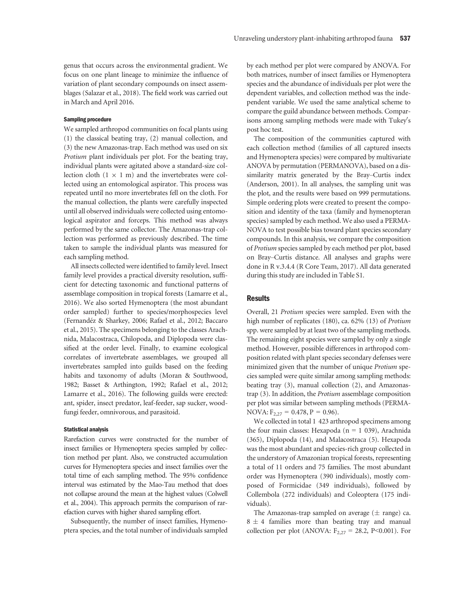genus that occurs across the environmental gradient. We focus on one plant lineage to minimize the influence of variation of plant secondary compounds on insect assemblages (Salazar et al., 2018). The field work was carried out in March and April 2016.

### Sampling procedure

We sampled arthropod communities on focal plants using (1) the classical beating tray, (2) manual collection, and (3) the new Amazonas-trap. Each method was used on six Protium plant individuals per plot. For the beating tray, individual plants were agitated above a standard-size collection cloth  $(1 \times 1$  m) and the invertebrates were collected using an entomological aspirator. This process was repeated until no more invertebrates fell on the cloth. For the manual collection, the plants were carefully inspected until all observed individuals were collected using entomological aspirator and forceps. This method was always performed by the same collector. The Amazonas-trap collection was performed as previously described. The time taken to sample the individual plants was measured for each sampling method.

All insects collected were identified to family level. Insect family level provides a practical diversity resolution, sufficient for detecting taxonomic and functional patterns of assemblage composition in tropical forests (Lamarre et al., 2016). We also sorted Hymenoptera (the most abundant order sampled) further to species/morphospecies level (Fernandéz & Sharkey, 2006; Rafael et al., 2012; Baccaro et al., 2015). The specimens belonging to the classes Arachnida, Malacostraca, Chilopoda, and Diplopoda were classified at the order level. Finally, to examine ecological correlates of invertebrate assemblages, we grouped all invertebrates sampled into guilds based on the feeding habits and taxonomy of adults (Moran & Southwood, 1982; Basset & Arthington, 1992; Rafael et al., 2012; Lamarre et al., 2016). The following guilds were erected: ant, spider, insect predator, leaf-feeder, sap sucker, woodfungi feeder, omnivorous, and parasitoid.

#### Statistical analysis

Rarefaction curves were constructed for the number of insect families or Hymenoptera species sampled by collection method per plant. Also, we constructed accumulation curves for Hymenoptera species and insect families over the total time of each sampling method. The 95% confidence interval was estimated by the Mao-Tau method that does not collapse around the mean at the highest values (Colwell et al., 2004). This approach permits the comparison of rarefaction curves with higher shared sampling effort.

Subsequently, the number of insect families, Hymenoptera species, and the total number of individuals sampled by each method per plot were compared by ANOVA. For both matrices, number of insect families or Hymenoptera species and the abundance of individuals per plot were the dependent variables, and collection method was the independent variable. We used the same analytical scheme to compare the guild abundance between methods. Comparisons among sampling methods were made with Tukey's post hoc test.

The composition of the communities captured with each collection method (families of all captured insects and Hymenoptera species) were compared by multivariate ANOVA by permutation (PERMANOVA), based on a dissimilarity matrix generated by the Bray–Curtis index (Anderson, 2001). In all analyses, the sampling unit was the plot, and the results were based on 999 permutations. Simple ordering plots were created to present the composition and identity of the taxa (family and hymenopteran species) sampled by each method. We also used a PERMA-NOVA to test possible bias toward plant species secondary compounds. In this analysis, we compare the composition of Protium species sampled by each method per plot, based on Bray–Curtis distance. All analyses and graphs were done in R v.3.4.4 (R Core Team, 2017). All data generated during this study are included in Table S1.

# **Results**

Overall, 21 Protium species were sampled. Even with the high number of replicates (180), ca. 62% (13) of Protium spp. were sampled by at least two of the sampling methods. The remaining eight species were sampled by only a single method. However, possible differences in arthropod composition related with plant species secondary defenses were minimized given that the number of unique Protium species sampled were quite similar among sampling methods: beating tray (3), manual collection (2), and Amazonastrap (3). In addition, the Protium assemblage composition per plot was similar between sampling methods (PERMA-NOVA:  $F_{2,27} = 0.478$ ,  $P = 0.96$ ).

We collected in total 1 423 arthropod specimens among the four main classes: Hexapoda (n = 1 039), Arachnida (365), Diplopoda (14), and Malacostraca (5). Hexapoda was the most abundant and species-rich group collected in the understory of Amazonian tropical forests, representing a total of 11 orders and 75 families. The most abundant order was Hymenoptera (390 individuals), mostly composed of Formicidae (349 individuals), followed by Collembola (272 individuals) and Coleoptera (175 individuals).

The Amazonas-trap sampled on average  $(\pm \text{ range})$  ca.  $8 \pm 4$  families more than beating tray and manual collection per plot (ANOVA:  $F_{2,27} = 28.2$ , P<0.001). For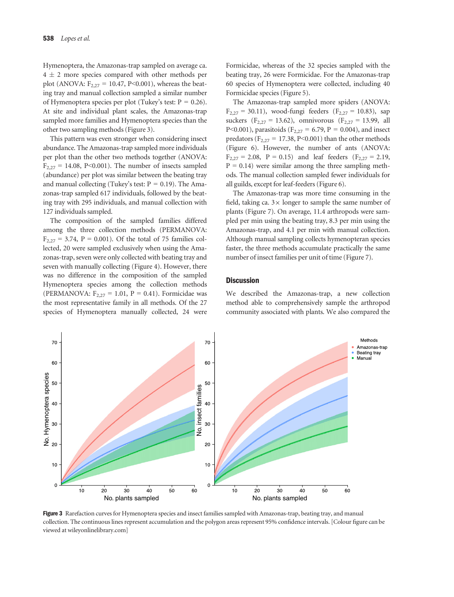Hymenoptera, the Amazonas-trap sampled on average ca.  $4 \pm 2$  more species compared with other methods per plot (ANOVA:  $F_{2,27} = 10.47$ , P<0.001), whereas the beating tray and manual collection sampled a similar number of Hymenoptera species per plot (Tukey's test:  $P = 0.26$ ). At site and individual plant scales, the Amazonas-trap sampled more families and Hymenoptera species than the other two sampling methods (Figure 3).

This pattern was even stronger when considering insect abundance. The Amazonas-trap sampled more individuals per plot than the other two methods together (ANOVA:  $F_{2,27}$  = 14.08, P<0.001). The number of insects sampled (abundance) per plot was similar between the beating tray and manual collecting (Tukey's test:  $P = 0.19$ ). The Amazonas-trap sampled 617 individuals, followed by the beating tray with 295 individuals, and manual collection with 127 individuals sampled.

The composition of the sampled families differed among the three collection methods (PERMANOVA:  $F_{2,27} = 3.74$ ,  $P = 0.001$ ). Of the total of 75 families collected, 20 were sampled exclusively when using the Amazonas-trap, seven were only collected with beating tray and seven with manually collecting (Figure 4). However, there was no difference in the composition of the sampled Hymenoptera species among the collection methods (PERMANOVA:  $F_{2,27} = 1.01$ ,  $P = 0.41$ ). Formicidae was the most representative family in all methods. Of the 27 species of Hymenoptera manually collected, 24 were

Formicidae, whereas of the 32 species sampled with the beating tray, 26 were Formicidae. For the Amazonas-trap 60 species of Hymenoptera were collected, including 40 Formicidae species (Figure 5).

The Amazonas-trap sampled more spiders (ANOVA:  $F_{2,27} = 30.11$ ), wood-fungi feeders ( $F_{2,27} = 10.83$ ), sap suckers (F<sub>2,27</sub> = 13.62), omnivorous (F<sub>2,27</sub> = 13.99, all P<0.001), parasitoids ( $F_{2,27} = 6.79$ , P = 0.004), and insect predators ( $F_{2,27}$  = 17.38, P<0.001) than the other methods (Figure 6). However, the number of ants (ANOVA:  $F_{2,27} = 2.08$ ,  $P = 0.15$ ) and leaf feeders ( $F_{2,27} = 2.19$ ,  $P = 0.14$ ) were similar among the three sampling methods. The manual collection sampled fewer individuals for all guilds, except for leaf-feeders (Figure 6).

The Amazonas-trap was more time consuming in the field, taking ca.  $3 \times$  longer to sample the same number of plants (Figure 7). On average, 11.4 arthropods were sampled per min using the beating tray, 8.3 per min using the Amazonas-trap, and 4.1 per min with manual collection. Although manual sampling collects hymenopteran species faster, the three methods accumulate practically the same number of insect families per unit of time (Figure 7).

# **Discussion**

We described the Amazonas-trap, a new collection method able to comprehensively sample the arthropod community associated with plants. We also compared the



Figure 3 Rarefaction curves for Hymenoptera species and insect families sampled with Amazonas-trap, beating tray, and manual collection. The continuous lines represent accumulation and the polygon areas represent 95% confidence intervals. [Colour figure can be viewed at [wileyonlinelibrary.com](www.wileyonlinelibrary.com)]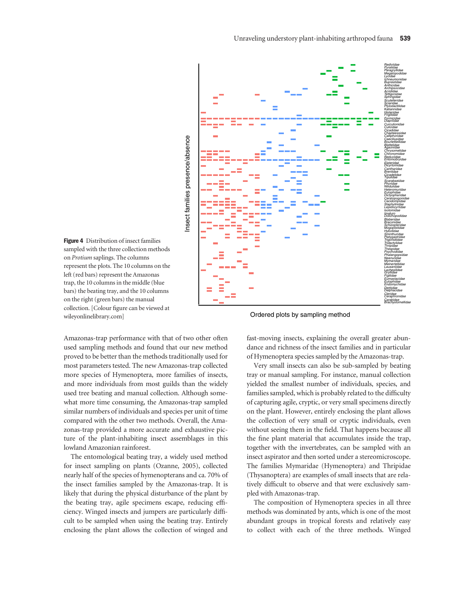

Figure 4 Distribution of insect families sampled with the three collection methods on Protium saplings. The columns represent the plots. The 10 columns on the left (red bars) represent the Amazonas trap, the 10 columns in the middle (blue bars) the beating tray, and the 10 columns on the right (green bars) the manual collection. [Colour figure can be viewed at [wileyonlinelibrary.com\]](www.wileyonlinelibrary.com)

Amazonas-trap performance with that of two other often used sampling methods and found that our new method proved to be better than the methods traditionally used for most parameters tested. The new Amazonas-trap collected more species of Hymenoptera, more families of insects, and more individuals from most guilds than the widely used tree beating and manual collection. Although somewhat more time consuming, the Amazonas-trap sampled similar numbers of individuals and species per unit of time compared with the other two methods. Overall, the Amazonas-trap provided a more accurate and exhaustive picture of the plant-inhabiting insect assemblages in this lowland Amazonian rainforest.

The entomological beating tray, a widely used method for insect sampling on plants (Ozanne, 2005), collected nearly half of the species of hymenopterans and ca. 70% of the insect families sampled by the Amazonas-trap. It is likely that during the physical disturbance of the plant by the beating tray, agile specimens escape, reducing efficiency. Winged insects and jumpers are particularly difficult to be sampled when using the beating tray. Entirely enclosing the plant allows the collection of winged and

Ordered plots by sampling method

fast-moving insects, explaining the overall greater abundance and richness of the insect families and in particular of Hymenoptera species sampled by the Amazonas-trap.

Very small insects can also be sub-sampled by beating tray or manual sampling. For instance, manual collection yielded the smallest number of individuals, species, and families sampled, which is probably related to the difficulty of capturing agile, cryptic, or very small specimens directly on the plant. However, entirely enclosing the plant allows the collection of very small or cryptic individuals, even without seeing them in the field. That happens because all the fine plant material that accumulates inside the trap, together with the invertebrates, can be sampled with an insect aspirator and then sorted under a stereomicroscope. The families Mymaridae (Hymenoptera) and Thripidae (Thysanoptera) are examples of small insects that are relatively difficult to observe and that were exclusively sampled with Amazonas-trap.

The composition of Hymenoptera species in all three methods was dominated by ants, which is one of the most abundant groups in tropical forests and relatively easy to collect with each of the three methods. Winged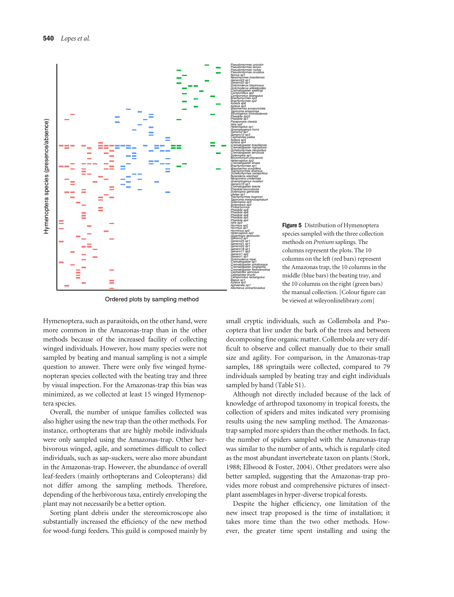

methods on Protium saplings. The columns represent the plots. The 10 columns on the left (red bars) represent the Amazonas trap, the 10 columns in the middle (blue bars) the beating tray, and the 10 columns on the right (green bars) the manual collection. [Colour figure can be viewed at [wileyonlinelibrary.com](www.wileyonlinelibrary.com)]

Figure 5 Distribution of Hymenoptera species sampled with the three collection

Ordered plots by sampling method

Hymenoptera, such as parasitoids, on the other hand, were more common in the Amazonas-trap than in the other methods because of the increased facility of collecting winged individuals. However, how many species were not sampled by beating and manual sampling is not a simple question to answer. There were only five winged hymenopteran species collected with the beating tray and three by visual inspection. For the Amazonas-trap this bias was minimized, as we collected at least 15 winged Hymenoptera species.

Overall, the number of unique families collected was also higher using the new trap than the other methods. For instance, orthopterans that are highly mobile individuals were only sampled using the Amazonas-trap. Other herbivorous winged, agile, and sometimes difficult to collect individuals, such as sap-suckers, were also more abundant in the Amazonas-trap. However, the abundance of overall leaf-feeders (mainly orthopterans and Coleopterans) did not differ among the sampling methods. Therefore, depending of the herbivorous taxa, entirely enveloping the plant may not necessarily be a better option.

Sorting plant debris under the stereomicroscope also substantially increased the efficiency of the new method for wood-fungi feeders. This guild is composed mainly by small cryptic individuals, such as Collembola and Psocoptera that live under the bark of the trees and between decomposing fine organic matter. Collembola are very difficult to observe and collect manually due to their small size and agility. For comparison, in the Amazonas-trap samples, 188 springtails were collected, compared to 79 individuals sampled by beating tray and eight individuals sampled by hand (Table S1).

Although not directly included because of the lack of knowledge of arthropod taxonomy in tropical forests, the collection of spiders and mites indicated very promising results using the new sampling method. The Amazonastrap sampled more spiders than the other methods. In fact, the number of spiders sampled with the Amazonas-trap was similar to the number of ants, which is regularly cited as the most abundant invertebrate taxon on plants (Stork, 1988; Ellwood & Foster, 2004). Other predators were also better sampled, suggesting that the Amazonas-trap provides more robust and comprehensive pictures of insectplant assemblages in hyper-diverse tropical forests.

Despite the higher efficiency, one limitation of the new insect trap proposed is the time of installation; it takes more time than the two other methods. However, the greater time spent installing and using the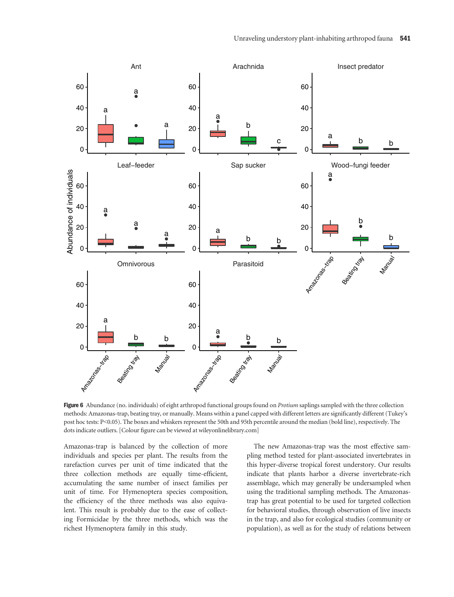

Figure 6 Abundance (no. individuals) of eight arthropod functional groups found on Protium saplings sampled with the three collection methods: Amazonas-trap, beating tray, or manually. Means within a panel capped with different letters are significantly different (Tukey's post hoc tests: P<0.05). The boxes and whiskers represent the 50th and 95th percentile around the median (bold line), respectively. The dots indicate outliers. [Colour figure can be viewed at [wileyonlinelibrary.com\]](www.wileyonlinelibrary.com)

Amazonas-trap is balanced by the collection of more individuals and species per plant. The results from the rarefaction curves per unit of time indicated that the three collection methods are equally time-efficient, accumulating the same number of insect families per unit of time. For Hymenoptera species composition, the efficiency of the three methods was also equivalent. This result is probably due to the ease of collecting Formicidae by the three methods, which was the richest Hymenoptera family in this study.

The new Amazonas-trap was the most effective sampling method tested for plant-associated invertebrates in this hyper-diverse tropical forest understory. Our results indicate that plants harbor a diverse invertebrate-rich assemblage, which may generally be undersampled when using the traditional sampling methods. The Amazonastrap has great potential to be used for targeted collection for behavioral studies, through observation of live insects in the trap, and also for ecological studies (community or population), as well as for the study of relations between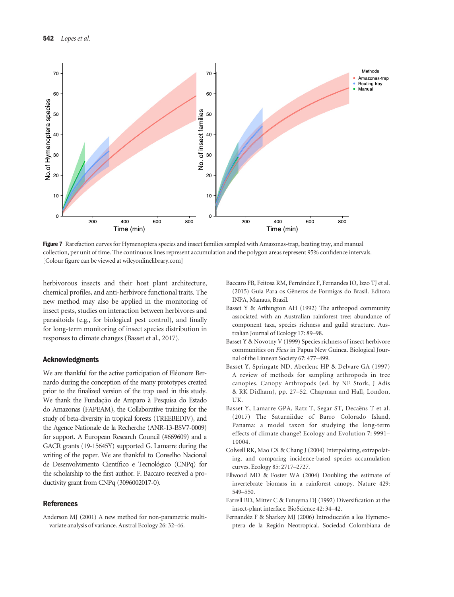

Figure 7 Rarefaction curves for Hymenoptera species and insect families sampled with Amazonas-trap, beating tray, and manual collection, per unit of time. The continuous lines represent accumulation and the polygon areas represent 95% confidence intervals. [Colour figure can be viewed at [wileyonlinelibrary.com](www.wileyonlinelibrary.com)]

herbivorous insects and their host plant architecture, chemical profiles, and anti-herbivore functional traits. The new method may also be applied in the monitoring of insect pests, studies on interaction between herbivores and parasitoids (e.g., for biological pest control), and finally for long-term monitoring of insect species distribution in responses to climate changes (Basset et al., 2017).

### Acknowledgments

We are thankful for the active participation of Eléonore Bernardo during the conception of the many prototypes created prior to the finalized version of the trap used in this study. We thank the Fundação de Amparo à Pesquisa do Estado do Amazonas (FAPEAM), the Collaborative training for the study of beta-diversity in tropical forests (TREEBEDIV), and the Agence Nationale de la Recherche (ANR-13-BSV7-0009) for support. A European Research Council (#669609) and a GACR grants (19-15645Y) supported G. Lamarre during the writing of the paper. We are thankful to Conselho Nacional de Desenvolvimento Científico e Tecnológico (CNPq) for the scholarship to the first author. F. Baccaro received a productivity grant from CNPq (3096002017-0).

#### References

Anderson MJ (2001) A new method for non-parametric multivariate analysis of variance. Austral Ecology 26: 32–46.

- Baccaro FB, Feitosa RM, Fernandez F, Fernandes IO, Izzo TJ et al. (2015) Guia Para os G^eneros de Formigas do Brasil. Editora INPA, Manaus, Brazil.
- Basset Y & Arthington AH (1992) The arthropod community associated with an Australian rainforest tree: abundance of component taxa, species richness and guild structure. Australian Journal of Ecology 17: 89–98.
- Basset Y & Novotny V (1999) Species richness of insect herbivore communities on Ficus in Papua New Guinea. Biological Journal of the Linnean Society 67: 477–499.
- Basset Y, Springate ND, Aberlenc HP & Delvare GA (1997) A review of methods for sampling arthropods in tree canopies. Canopy Arthropods (ed. by NE Stork, J Adis & RK Didham), pp. 27–52. Chapman and Hall, London, UK.
- Basset Y, Lamarre GPA, Ratz T, Segar ST, Decaëns T et al. (2017) The Saturniidae of Barro Colorado Island, Panama: a model taxon for studying the long-term effects of climate change? Ecology and Evolution 7: 9991– 10004.
- Colwell RK, Mao CX & Chang J (2004) Interpolating, extrapolating, and comparing incidence-based species accumulation curves. Ecology 85: 2717–2727.
- Ellwood MD & Foster WA (2004) Doubling the estimate of invertebrate biomass in a rainforest canopy. Nature 429: 549–550.
- Farrell BD, Mitter C & Futuyma DJ (1992) Diversification at the insect-plant interface. BioScience 42: 34–42.
- Fernandéz F & Sharkey MJ (2006) Introducción a los Hymenoptera de la Region Neotropical. Sociedad Colombiana de